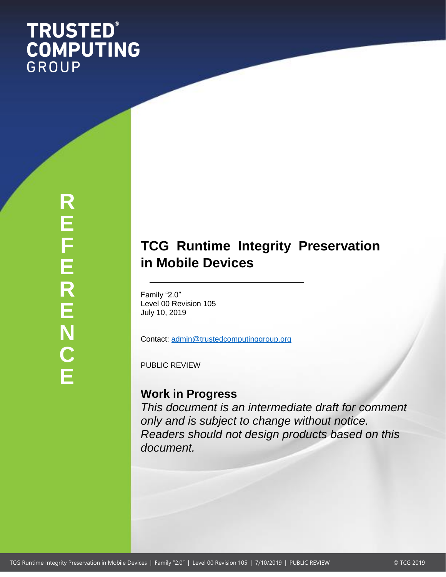# **TRUSTED®<br>COMPUTING** GROUP

# **TCG Runtime Integrity Preservation in Mobile Devices**

Family "2.0" Level 00 Revision 105 July 10, 2019

Contact: [admin@trustedcomputinggroup.org](mailto:admin@trustedcomputinggroup.org)

PUBLIC REVIEW

# **Work in Progress**

*This document is an intermediate draft for comment only and is subject to change without notice. Readers should not design products based on this document.*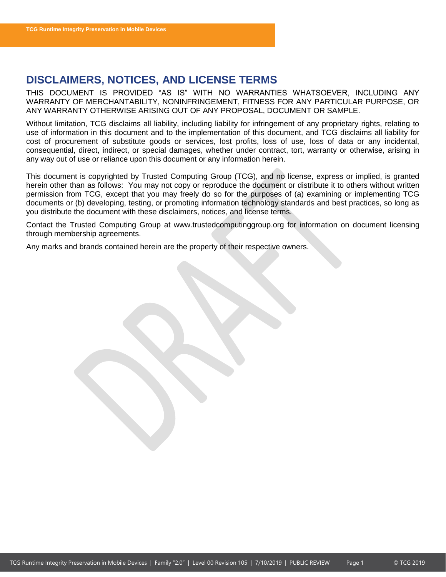# <span id="page-1-0"></span>**DISCLAIMERS, NOTICES, AND LICENSE TERMS**

THIS DOCUMENT IS PROVIDED "AS IS" WITH NO WARRANTIES WHATSOEVER, INCLUDING ANY WARRANTY OF MERCHANTABILITY, NONINFRINGEMENT, FITNESS FOR ANY PARTICULAR PURPOSE, OR ANY WARRANTY OTHERWISE ARISING OUT OF ANY PROPOSAL, DOCUMENT OR SAMPLE.

Without limitation, TCG disclaims all liability, including liability for infringement of any proprietary rights, relating to use of information in this document and to the implementation of this document, and TCG disclaims all liability for cost of procurement of substitute goods or services, lost profits, loss of use, loss of data or any incidental, consequential, direct, indirect, or special damages, whether under contract, tort, warranty or otherwise, arising in any way out of use or reliance upon this document or any information herein.

This document is copyrighted by Trusted Computing Group (TCG), and no license, express or implied, is granted herein other than as follows: You may not copy or reproduce the document or distribute it to others without written permission from TCG, except that you may freely do so for the purposes of (a) examining or implementing TCG documents or (b) developing, testing, or promoting information technology standards and best practices, so long as you distribute the document with these disclaimers, notices, and license terms.

Contact the Trusted Computing Group at www.trustedcomputinggroup.org for information on document licensing through membership agreements.

Any marks and brands contained herein are the property of their respective owners.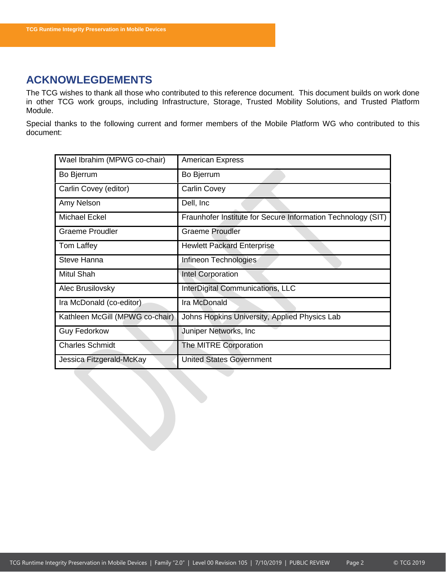# <span id="page-2-0"></span>**ACKNOWLEGDEMENTS**

The TCG wishes to thank all those who contributed to this reference document. This document builds on work done in other TCG work groups, including Infrastructure, Storage, Trusted Mobility Solutions, and Trusted Platform Module.

Special thanks to the following current and former members of the Mobile Platform WG who contributed to this document:

| Wael Ibrahim (MPWG co-chair)    | <b>American Express</b>                                      |
|---------------------------------|--------------------------------------------------------------|
| Bo Bjerrum                      | Bo Bjerrum                                                   |
| Carlin Covey (editor)           | <b>Carlin Covey</b>                                          |
| Amy Nelson                      | Dell, Inc.                                                   |
| Michael Eckel                   | Fraunhofer Institute for Secure Information Technology (SIT) |
| <b>Graeme Proudler</b>          | Graeme Proudler                                              |
| Tom Laffey                      | <b>Hewlett Packard Enterprise</b>                            |
| Steve Hanna                     | Infineon Technologies                                        |
| Mitul Shah                      | Intel Corporation                                            |
| Alec Brusilovsky                | InterDigital Communications, LLC                             |
| Ira McDonald (co-editor)        | Ira McDonald                                                 |
| Kathleen McGill (MPWG co-chair) | Johns Hopkins University, Applied Physics Lab                |
| <b>Guy Fedorkow</b>             | Juniper Networks, Inc.                                       |
| <b>Charles Schmidt</b>          | The MITRE Corporation                                        |
| Jessica Fitzgerald-McKay        | <b>United States Government</b>                              |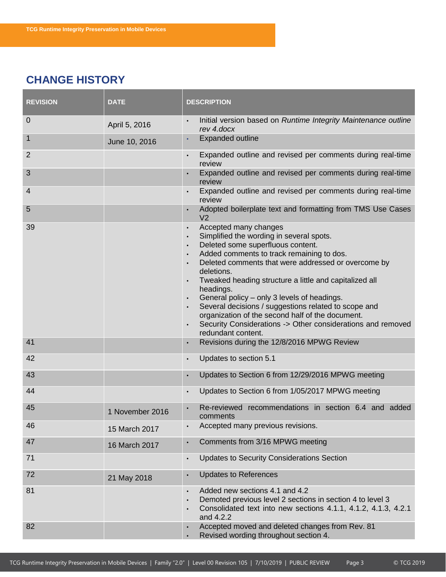# <span id="page-3-0"></span>**CHANGE HISTORY**

| <b>REVISION</b> | <b>DATE</b>     | <b>DESCRIPTION</b>                                                                                                                                                                                                                                                                                                                                                                                                                                                                                                                                           |
|-----------------|-----------------|--------------------------------------------------------------------------------------------------------------------------------------------------------------------------------------------------------------------------------------------------------------------------------------------------------------------------------------------------------------------------------------------------------------------------------------------------------------------------------------------------------------------------------------------------------------|
| 0               | April 5, 2016   | Initial version based on Runtime Integrity Maintenance outline<br>$\bullet$<br>rev 4.docx                                                                                                                                                                                                                                                                                                                                                                                                                                                                    |
| 1               | June 10, 2016   | <b>Expanded outline</b><br>$\bullet$                                                                                                                                                                                                                                                                                                                                                                                                                                                                                                                         |
| $\overline{2}$  |                 | Expanded outline and revised per comments during real-time<br>$\bullet$<br>review                                                                                                                                                                                                                                                                                                                                                                                                                                                                            |
| 3               |                 | Expanded outline and revised per comments during real-time<br>$\bullet$<br>review                                                                                                                                                                                                                                                                                                                                                                                                                                                                            |
| 4               |                 | Expanded outline and revised per comments during real-time<br>$\bullet$<br>review                                                                                                                                                                                                                                                                                                                                                                                                                                                                            |
| 5               |                 | Adopted boilerplate text and formatting from TMS Use Cases<br>V <sub>2</sub>                                                                                                                                                                                                                                                                                                                                                                                                                                                                                 |
| 39              |                 | Accepted many changes<br>$\bullet$<br>Simplified the wording in several spots.<br>Deleted some superfluous content.<br>Added comments to track remaining to dos.<br>Deleted comments that were addressed or overcome by<br>deletions.<br>Tweaked heading structure a little and capitalized all<br>headings.<br>General policy - only 3 levels of headings.<br>Several decisions / suggestions related to scope and<br>organization of the second half of the document.<br>Security Considerations -> Other considerations and removed<br>redundant content. |
| 41              |                 | Revisions during the 12/8/2016 MPWG Review                                                                                                                                                                                                                                                                                                                                                                                                                                                                                                                   |
| 42              |                 | Updates to section 5.1<br>$\bullet$                                                                                                                                                                                                                                                                                                                                                                                                                                                                                                                          |
| 43              |                 | Updates to Section 6 from 12/29/2016 MPWG meeting<br>$\bullet$                                                                                                                                                                                                                                                                                                                                                                                                                                                                                               |
| 44              |                 | Updates to Section 6 from 1/05/2017 MPWG meeting<br>$\bullet$                                                                                                                                                                                                                                                                                                                                                                                                                                                                                                |
| 45              | 1 November 2016 | Re-reviewed recommendations in section 6.4 and added<br>$\bullet$<br>comments                                                                                                                                                                                                                                                                                                                                                                                                                                                                                |
| 46              | 15 March 2017   | Accepted many previous revisions.                                                                                                                                                                                                                                                                                                                                                                                                                                                                                                                            |
| 47              | 16 March 2017   | Comments from 3/16 MPWG meeting<br>$\bullet$                                                                                                                                                                                                                                                                                                                                                                                                                                                                                                                 |
| 71              |                 | <b>Updates to Security Considerations Section</b><br>$\bullet$                                                                                                                                                                                                                                                                                                                                                                                                                                                                                               |
| 72              | 21 May 2018     | <b>Updates to References</b><br>$\bullet$                                                                                                                                                                                                                                                                                                                                                                                                                                                                                                                    |
| 81              |                 | Added new sections 4.1 and 4.2<br>$\bullet$<br>Demoted previous level 2 sections in section 4 to level 3<br>Consolidated text into new sections 4.1.1, 4.1.2, 4.1.3, 4.2.1<br>and 4.2.2                                                                                                                                                                                                                                                                                                                                                                      |
| 82              |                 | Accepted moved and deleted changes from Rev. 81<br>$\bullet$<br>Revised wording throughout section 4.<br>$\bullet$                                                                                                                                                                                                                                                                                                                                                                                                                                           |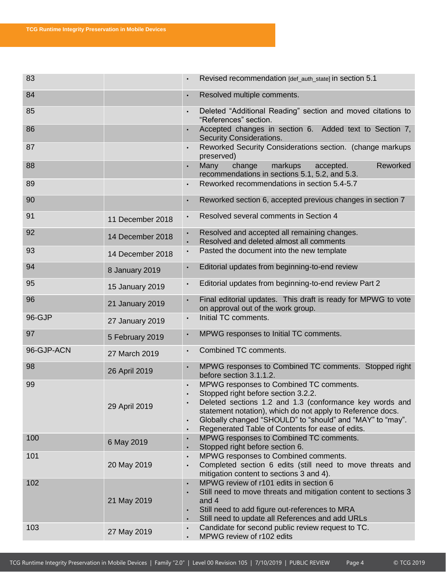| 83         |                  | Revised recommendation [def_auth_state] in section 5.1                                                                                                                                                                                                                                                                                |
|------------|------------------|---------------------------------------------------------------------------------------------------------------------------------------------------------------------------------------------------------------------------------------------------------------------------------------------------------------------------------------|
| 84         |                  | Resolved multiple comments.                                                                                                                                                                                                                                                                                                           |
| 85         |                  | Deleted "Additional Reading" section and moved citations to<br>$\bullet$<br>"References" section.                                                                                                                                                                                                                                     |
| 86         |                  | Accepted changes in section 6. Added text to Section 7,<br><b>Security Considerations.</b>                                                                                                                                                                                                                                            |
| 87         |                  | Reworked Security Considerations section. (change markups<br>$\bullet$<br>preserved)                                                                                                                                                                                                                                                  |
| 88         |                  | markups<br>Reworked<br>Many<br>change<br>accepted.<br>recommendations in sections 5.1, 5.2, and 5.3.                                                                                                                                                                                                                                  |
| 89         |                  | Reworked recommendations in section 5.4-5.7<br>$\bullet$                                                                                                                                                                                                                                                                              |
| 90         |                  | Reworked section 6, accepted previous changes in section 7<br>$\bullet$                                                                                                                                                                                                                                                               |
| 91         | 11 December 2018 | Resolved several comments in Section 4<br>$\bullet$                                                                                                                                                                                                                                                                                   |
| 92         | 14 December 2018 | Resolved and accepted all remaining changes.<br>Resolved and deleted almost all comments                                                                                                                                                                                                                                              |
| 93         | 14 December 2018 | Pasted the document into the new template                                                                                                                                                                                                                                                                                             |
| 94         | 8 January 2019   | Editorial updates from beginning-to-end review                                                                                                                                                                                                                                                                                        |
| 95         | 15 January 2019  | Editorial updates from beginning-to-end review Part 2                                                                                                                                                                                                                                                                                 |
| 96         | 21 January 2019  | Final editorial updates. This draft is ready for MPWG to vote<br>on approval out of the work group.                                                                                                                                                                                                                                   |
| 96-GJP     | 27 January 2019  | Initial TC comments.<br>$\bullet$                                                                                                                                                                                                                                                                                                     |
| 97         | 5 February 2019  | MPWG responses to Initial TC comments.<br>$\bullet$                                                                                                                                                                                                                                                                                   |
| 96-GJP-ACN | 27 March 2019    | Combined TC comments.                                                                                                                                                                                                                                                                                                                 |
| 98         | 26 April 2019    | MPWG responses to Combined TC comments. Stopped right<br>before section 3.1.1.2.                                                                                                                                                                                                                                                      |
| 99         | 29 April 2019    | MPWG responses to Combined TC comments.<br>Stopped right before section 3.2.2.<br>Deleted sections 1.2 and 1.3 (conformance key words and<br>statement notation), which do not apply to Reference docs.<br>Globally changed "SHOULD" to "should" and "MAY" to "may".<br>Regenerated Table of Contents for ease of edits.<br>$\bullet$ |
| 100        | 6 May 2019       | MPWG responses to Combined TC comments.<br>Stopped right before section 6.<br>$\bullet$                                                                                                                                                                                                                                               |
| 101        | 20 May 2019      | MPWG responses to Combined comments.<br>$\bullet$<br>Completed section 6 edits (still need to move threats and                                                                                                                                                                                                                        |
|            |                  | mitigation content to sections 3 and 4).                                                                                                                                                                                                                                                                                              |
| 102        | 21 May 2019      | MPWG review of r101 edits in section 6<br>$\bullet$<br>Still need to move threats and mitigation content to sections 3<br>$\bullet$<br>and 4<br>Still need to add figure out-references to MRA<br>$\bullet$<br>Still need to update all References and add URLs<br>$\bullet$                                                          |
| 103        | 27 May 2019      | Candidate for second public review request to TC.<br>$\bullet$<br>MPWG review of r102 edits<br>$\bullet$                                                                                                                                                                                                                              |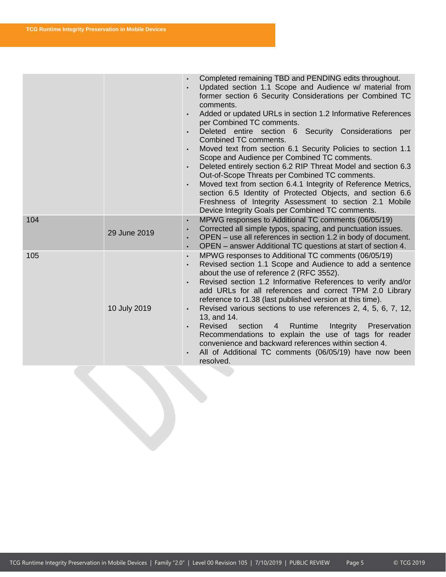|     |              | Completed remaining TBD and PENDING edits throughout.<br>Updated section 1.1 Scope and Audience w/ material from<br>former section 6 Security Considerations per Combined TC<br>comments.<br>Added or updated URLs in section 1.2 Informative References<br>per Combined TC comments.<br>Deleted entire section 6 Security Considerations<br>per<br>$\bullet$<br>Combined TC comments.<br>Moved text from section 6.1 Security Policies to section 1.1<br>Scope and Audience per Combined TC comments.<br>Deleted entirely section 6.2 RIP Threat Model and section 6.3<br>$\bullet$<br>Out-of-Scope Threats per Combined TC comments.<br>Moved text from section 6.4.1 Integrity of Reference Metrics,<br>$\bullet$<br>section 6.5 Identity of Protected Objects, and section 6.6<br>Freshness of Integrity Assessment to section 2.1 Mobile<br>Device Integrity Goals per Combined TC comments. |
|-----|--------------|---------------------------------------------------------------------------------------------------------------------------------------------------------------------------------------------------------------------------------------------------------------------------------------------------------------------------------------------------------------------------------------------------------------------------------------------------------------------------------------------------------------------------------------------------------------------------------------------------------------------------------------------------------------------------------------------------------------------------------------------------------------------------------------------------------------------------------------------------------------------------------------------------|
| 104 | 29 June 2019 | MPWG responses to Additional TC comments (06/05/19)<br>$\bullet$<br>Corrected all simple typos, spacing, and punctuation issues.<br>$\bullet$<br>OPEN – use all references in section 1.2 in body of document.<br>$\bullet$<br>OPEN – answer Additional TC questions at start of section 4.<br>$\bullet$                                                                                                                                                                                                                                                                                                                                                                                                                                                                                                                                                                                          |
| 105 | 10 July 2019 | MPWG responses to Additional TC comments (06/05/19)<br>$\bullet$<br>Revised section 1.1 Scope and Audience to add a sentence<br>$\bullet$<br>about the use of reference 2 (RFC 3552).<br>Revised section 1.2 Informative References to verify and/or<br>$\bullet$<br>add URLs for all references and correct TPM 2.0 Library<br>reference to r1.38 (last published version at this time).<br>Revised various sections to use references 2, 4, 5, 6, 7, 12,<br>$\bullet$<br>13, and 14.<br>Revised<br>4 Runtime<br>section<br>Integrity<br>Preservation<br>Recommendations to explain the use of tags for reader<br>convenience and backward references within section 4.<br>All of Additional TC comments (06/05/19) have now been<br>$\bullet$<br>resolved.                                                                                                                                      |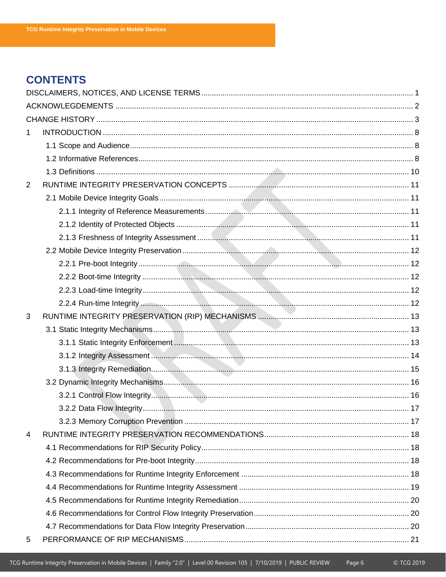# **CONTENTS**

| 1              |  |
|----------------|--|
|                |  |
|                |  |
|                |  |
| $\overline{2}$ |  |
|                |  |
|                |  |
|                |  |
|                |  |
|                |  |
|                |  |
|                |  |
|                |  |
|                |  |
| 3              |  |
|                |  |
|                |  |
|                |  |
|                |  |
|                |  |
|                |  |
|                |  |
|                |  |
| 4              |  |
|                |  |
|                |  |
|                |  |
|                |  |
|                |  |
|                |  |
|                |  |
| 5              |  |

Page 6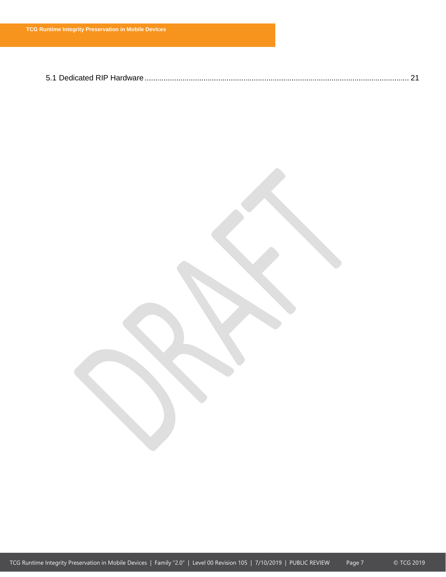|--|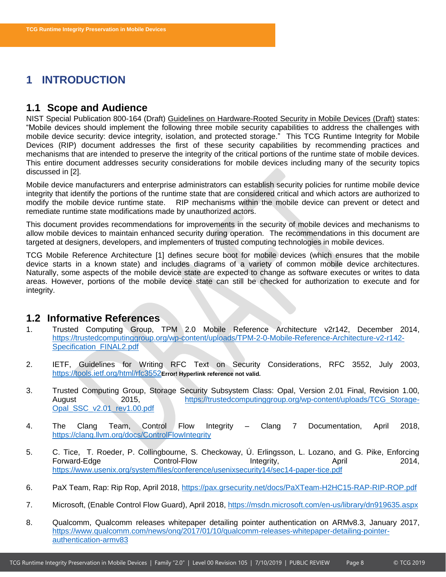# <span id="page-8-11"></span><span id="page-8-0"></span>**1 INTRODUCTION**

# <span id="page-8-1"></span>**1.1 Scope and Audience**

NIST Special Publication 800-164 (Draft) Guidelines on Hardware-Rooted Security in Mobile Devices (Draft) states: "Mobile devices should implement the following three mobile security capabilities to address the challenges with mobile device security: device integrity, isolation, and protected storage." This TCG Runtime Integrity for Mobile Devices (RIP) document addresses the first of these security capabilities by recommending practices and mechanisms that are intended to preserve the integrity of the critical portions of the runtime state of mobile devices. This entire document addresses security considerations for mobile devices including many of the security topics discussed in [\[2\]](#page-8-3).

Mobile device manufacturers and enterprise administrators can establish security policies for runtime mobile device integrity that identify the portions of the runtime state that are considered critical and which actors are authorized to modify the mobile device runtime state. RIP mechanisms within the mobile device can prevent or detect and remediate runtime state modifications made by unauthorized actors.

This document provides recommendations for improvements in the security of mobile devices and mechanisms to allow mobile devices to maintain enhanced security during operation. The recommendations in this document are targeted at designers, developers, and implementers of trusted computing technologies in mobile devices.

TCG Mobile Reference Architecture [\[1\]](#page-8-4) defines secure boot for mobile devices (which ensures that the mobile device starts in a known state) and includes diagrams of a variety of common mobile device architectures. Naturally, some aspects of the mobile device state are expected to change as software executes or writes to data areas. However, portions of the mobile device state can still be checked for authorization to execute and for integrity.

### <span id="page-8-2"></span>**1.2 Informative References**

- <span id="page-8-4"></span>1. Trusted Computing Group, TPM 2.0 Mobile Reference Architecture v2r142, December 2014, [https://trustedcomputinggroup.org/wp-content/uploads/TPM-2-0-Mobile-Reference-Architecture-v2-r142-](https://trustedcomputinggroup.org/wp-content/uploads/TPM-2-0-Mobile-Reference-Architecture-v2-r142-Specification_FINAL2.pdf) [Specification\\_FINAL2.pdf](https://trustedcomputinggroup.org/wp-content/uploads/TPM-2-0-Mobile-Reference-Architecture-v2-r142-Specification_FINAL2.pdf)
- <span id="page-8-3"></span>2. IETF, Guidelines for Writing RFC Text on Security Considerations, RFC 3552, July 2003, <https://tools.ietf.org/html/rfc3552>**Error! Hyperlink reference not valid.**
- <span id="page-8-5"></span>3. Trusted Computing Group, Storage Security Subsystem Class: Opal, Version 2.01 Final, Revision 1.00, August 2015, [https://trustedcomputinggroup.org/wp-content/uploads/TCG\\_Storage-](https://trustedcomputinggroup.org/wp-content/uploads/TCG_Storage-Opal_SSC_v2.01_rev1.00.pdf)[Opal\\_SSC\\_v2.01\\_rev1.00.pdf](https://trustedcomputinggroup.org/wp-content/uploads/TCG_Storage-Opal_SSC_v2.01_rev1.00.pdf)
- <span id="page-8-6"></span>4. The Clang Team, Control Flow Integrity – Clang 7 Documentation, April 2018, <https://clang.llvm.org/docs/ControlFlowIntegrity>
- <span id="page-8-8"></span>5. C. Tice, T. Roeder, P. Collingbourne, S. Checkoway, Ú. Erlingsson, L. Lozano, and G. Pike, Enforcing Forward-Edge **Control-Flow** Integrity, April 2014, <https://www.usenix.org/system/files/conference/usenixsecurity14/sec14-paper-tice.pdf>
- <span id="page-8-9"></span>6. PaX Team, Rap: Rip Rop, April 2018, <https://pax.grsecurity.net/docs/PaXTeam-H2HC15-RAP-RIP-ROP.pdf>
- <span id="page-8-7"></span>7. Microsoft, (Enable Control Flow Guard), April 2018, <https://msdn.microsoft.com/en-us/library/dn919635.aspx>
- <span id="page-8-10"></span>8. Qualcomm, Qualcomm releases whitepaper detailing pointer authentication on ARMv8.3, January 2017, [https://www.qualcomm.com/news/onq/2017/01/10/qualcomm-releases-whitepaper-detailing-pointer](https://www.qualcomm.com/news/onq/2017/01/10/qualcomm-releases-whitepaper-detailing-pointer-authentication-armv83)[authentication-armv83](https://www.qualcomm.com/news/onq/2017/01/10/qualcomm-releases-whitepaper-detailing-pointer-authentication-armv83)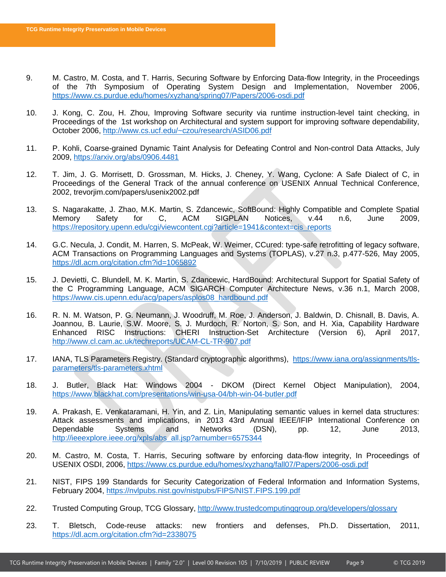- <span id="page-9-4"></span>9. M. Castro, M. Costa, and T. Harris, Securing Software by Enforcing Data-flow Integrity, in the Proceedings of the 7th Symposium of Operating System Design and Implementation, November 2006, <https://www.cs.purdue.edu/homes/xyzhang/spring07/Papers/2006-osdi.pdf>
- <span id="page-9-8"></span>10. J. Kong, C. Zou, H. Zhou, Improving Software security via runtime instruction-level taint checking, in Proceedings of the 1st workshop on Architectural and system support for improving software dependability, October 2006,<http://www.cs.ucf.edu/~czou/research/ASID06.pdf>
- <span id="page-9-9"></span>11. P. Kohli, Coarse-grained Dynamic Taint Analysis for Defeating Control and Non-control Data Attacks, July 2009, <https://arxiv.org/abs/0906.4481>
- <span id="page-9-2"></span>12. T. Jim, J. G. Morrisett, D. Grossman, M. Hicks, J. Cheney, Y. Wang, Cyclone: A Safe Dialect of C, in Proceedings of the General Track of the annual conference on USENIX Annual Technical Conference, 2002, trevorjim.com/papers/usenix2002.pdf
- <span id="page-9-5"></span>13. S. Nagarakatte, J. Zhao, M.K. Martin, S. Zdancewic, SoftBound: Highly Compatible and Complete Spatial Memory Safety for C, ACM SIGPLAN Notices, v.44 n.6, June 2009, [https://repository.upenn.edu/cgi/viewcontent.cgi?article=1941&context=cis\\_reports](https://repository.upenn.edu/cgi/viewcontent.cgi?article=1941&context=cis_reports)
- <span id="page-9-10"></span>14. G.C. Necula, J. Condit, M. Harren, S. McPeak, W. Weimer, CCured: type-safe retrofitting of legacy software, ACM Transactions on Programming Languages and Systems (TOPLAS), v.27 n.3, p.477-526, May 2005, <https://dl.acm.org/citation.cfm?id=1065892>
- <span id="page-9-11"></span>15. J. Devietti, C. Blundell, M. K. Martin, S. Zdancewic, HardBound: Architectural Support for Spatial Safety of the C Programming Language, ACM SIGARCH Computer Architecture News, v.36 n.1, March 2008, [https://www.cis.upenn.edu/acg/papers/asplos08\\_hardbound.pdf](https://www.cis.upenn.edu/acg/papers/asplos08_hardbound.pdf)
- <span id="page-9-12"></span>16. R. N. M. Watson, P. G. Neumann, J. Woodruff, M. Roe, J. Anderson, J. Baldwin, D. Chisnall, B. Davis, A. Joannou, B. Laurie, S.W. Moore, S. J. Murdoch, R. Norton, S. Son, and H. Xia, Capability Hardware Enhanced RISC Instructions: CHERI Instruction-Set Architecture (Version 6), April 2017, <http://www.cl.cam.ac.uk/techreports/UCAM-CL-TR-907.pdf>
- <span id="page-9-13"></span>17. IANA, TLS Parameters Registry. (Standard cryptographic algorithms), [https://www.iana.org/assignments/tls](https://www.iana.org/assignments/tls-parameters/tls-parameters.xhtml)[parameters/tls-parameters.xhtml](https://www.iana.org/assignments/tls-parameters/tls-parameters.xhtml)
- <span id="page-9-6"></span>18. J. Butler, Black Hat: Windows 2004 - DKOM (Direct Kernel Object Manipulation), 2004, <https://www.blackhat.com/presentations/win-usa-04/bh-win-04-butler.pdf>
- <span id="page-9-7"></span>19. A. Prakash, E. Venkataramani, H. Yin, and Z. Lin, Manipulating semantic values in kernel data structures: Attack assessments and implications, in 2013 43rd Annual IEEE/IFIP International Conference on Dependable Systems and Networks (DSN), pp. 12, June 2013, [http://ieeexplore.ieee.org/xpls/abs\\_all.jsp?arnumber=6575344](http://ieeexplore.ieee.org/xpls/abs_all.jsp?arnumber=6575344)
- <span id="page-9-14"></span>20. M. Castro, M. Costa, T. Harris, Securing software by enforcing data-flow integrity, In Proceedings of USENIX OSDI, 2006, <https://www.cs.purdue.edu/homes/xyzhang/fall07/Papers/2006-osdi.pdf>
- <span id="page-9-0"></span>21. NIST, FIPS 199 Standards for Security Categorization of Federal Information and Information Systems, February 2004, <https://nvlpubs.nist.gov/nistpubs/FIPS/NIST.FIPS.199.pdf>
- <span id="page-9-1"></span>22. Trusted Computing Group, TCG Glossary, <http://www.trustedcomputinggroup.org/developers/glossary>
- <span id="page-9-3"></span>23. T. Bletsch, Code-reuse attacks: new frontiers and defenses, Ph.D. Dissertation, 2011, <https://dl.acm.org/citation.cfm?id=2338075>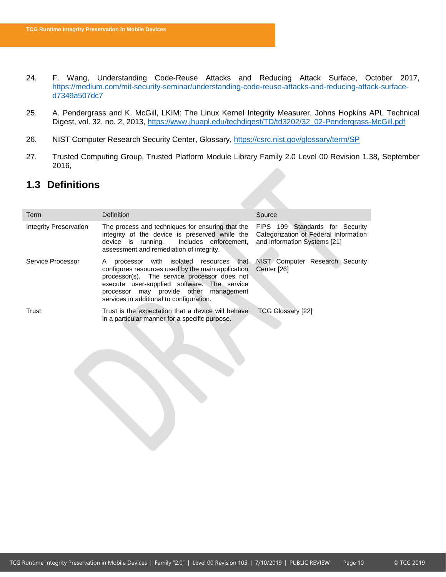- 24. F. Wang, Understanding Code-Reuse Attacks and Reducing Attack Surface, October 2017, [https://medium.com/mit-security-seminar/understanding-code-reuse-attacks-and-reducing-attack-surface](https://medium.com/mit-security-seminar/understanding-code-reuse-attacks-and-reducing-attack-surface-d7349a507dc7)[d7349a507dc7](https://medium.com/mit-security-seminar/understanding-code-reuse-attacks-and-reducing-attack-surface-d7349a507dc7)
- <span id="page-10-3"></span>25. A. Pendergrass and K. McGill, LKIM: The Linux Kernel Integrity Measurer, Johns Hopkins APL Technical Digest, vol. 32, no. 2, 2013, [https://www.jhuapl.edu/techdigest/TD/td3202/32\\_02-Pendergrass-McGill.pdf](https://www.jhuapl.edu/techdigest/TD/td3202/32_02-Pendergrass-McGill.pdf)
- <span id="page-10-1"></span>26. NIST Computer Research Security Center, Glossary,<https://csrc.nist.gov/glossary/term/SP>
- <span id="page-10-2"></span>27. Trusted Computing Group, Trusted Platform Module Library Family 2.0 Level 00 Revision 1.38, September 2016,

# <span id="page-10-0"></span>**1.3 Definitions**

| Term                   | Definition                                                                                                                                                                                                                                                                                                            | Source                                                                                                   |
|------------------------|-----------------------------------------------------------------------------------------------------------------------------------------------------------------------------------------------------------------------------------------------------------------------------------------------------------------------|----------------------------------------------------------------------------------------------------------|
| Integrity Preservation | The process and techniques for ensuring that the<br>integrity of the device is preserved while the<br>device is running. Includes enforcement,<br>assessment and remediation of integrity.                                                                                                                            | FIPS 199 Standards for Security<br>Categorization of Federal Information<br>and Information Systems [21] |
| Service Processor      | processor with isolated resources that NIST Computer Research Security<br>A<br>configures resources used by the main application<br>processor(s). The service processor does not<br>execute user-supplied software. The service<br>processor may provide other management<br>services in additional to configuration. | Center [26]                                                                                              |
| Trust                  | Trust is the expectation that a device will behave<br>in a particular manner for a specific purpose.                                                                                                                                                                                                                  | <b>TCG Glossary [22]</b>                                                                                 |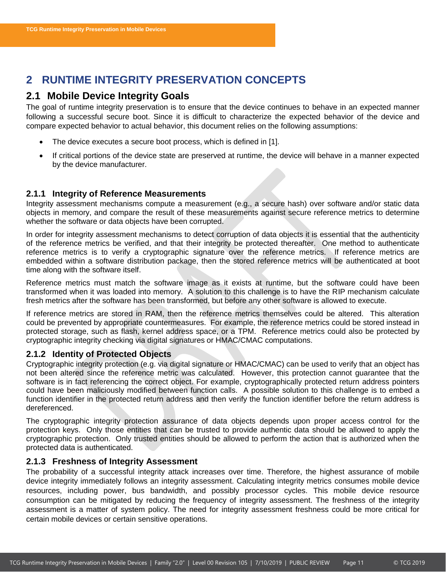# <span id="page-11-0"></span>**2 RUNTIME INTEGRITY PRESERVATION CONCEPTS**

# <span id="page-11-1"></span>**2.1 Mobile Device Integrity Goals**

The goal of runtime integrity preservation is to ensure that the device continues to behave in an expected manner following a successful secure boot. Since it is difficult to characterize the expected behavior of the device and compare expected behavior to actual behavior, this document relies on the following assumptions:

- The device executes a secure boot process, which is defined in [\[1\]](#page-8-4).
- If critical portions of the device state are preserved at runtime, the device will behave in a manner expected by the device manufacturer.

### <span id="page-11-2"></span>**2.1.1 Integrity of Reference Measurements**

Integrity assessment mechanisms compute a measurement (e.g., a secure hash) over software and/or static data objects in memory, and compare the result of these measurements against secure reference metrics to determine whether the software or data objects have been corrupted.

In order for integrity assessment mechanisms to detect corruption of data objects it is essential that the authenticity of the reference metrics be verified, and that their integrity be protected thereafter. One method to authenticate reference metrics is to verify a cryptographic signature over the reference metrics. If reference metrics are embedded within a software distribution package, then the stored reference metrics will be authenticated at boot time along with the software itself.

Reference metrics must match the software image as it exists at runtime, but the software could have been transformed when it was loaded into memory. A solution to this challenge is to have the RIP mechanism calculate fresh metrics after the software has been transformed, but before any other software is allowed to execute.

If reference metrics are stored in RAM, then the reference metrics themselves could be altered. This alteration could be prevented by appropriate countermeasures. For example, the reference metrics could be stored instead in protected storage, such as flash, kernel address space, or a TPM. Reference metrics could also be protected by cryptographic integrity checking via digital signatures or HMAC/CMAC computations.

### <span id="page-11-3"></span>**2.1.2 Identity of Protected Objects**

Cryptographic integrity protection (e.g. via digital signature or HMAC/CMAC) can be used to verify that an object has not been altered since the reference metric was calculated. However, this protection cannot guarantee that the software is in fact referencing the correct object. For example, cryptographically protected return address pointers could have been maliciously modified between function calls. A possible solution to this challenge is to embed a function identifier in the protected return address and then verify the function identifier before the return address is dereferenced.

The cryptographic integrity protection assurance of data objects depends upon proper access control for the protection keys. Only those entities that can be trusted to provide authentic data should be allowed to apply the cryptographic protection. Only trusted entities should be allowed to perform the action that is authorized when the protected data is authenticated.

#### <span id="page-11-4"></span>**2.1.3 Freshness of Integrity Assessment**

The probability of a successful integrity attack increases over time. Therefore, the highest assurance of mobile device integrity immediately follows an integrity assessment. Calculating integrity metrics consumes mobile device resources, including power, bus bandwidth, and possibly processor cycles. This mobile device resource consumption can be mitigated by reducing the frequency of integrity assessment. The freshness of the integrity assessment is a matter of system policy. The need for integrity assessment freshness could be more critical for certain mobile devices or certain sensitive operations.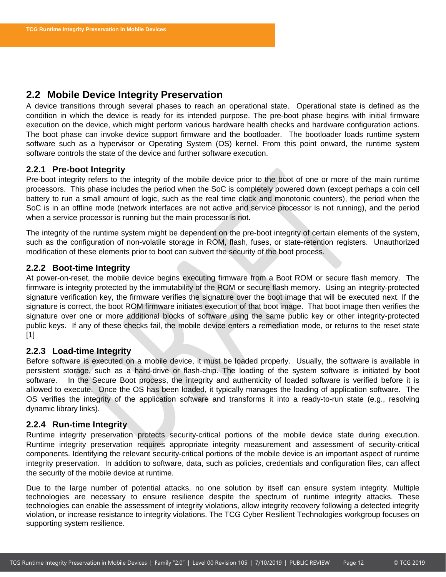# <span id="page-12-0"></span>**2.2 Mobile Device Integrity Preservation**

A device transitions through several phases to reach an operational state. Operational state is defined as the condition in which the device is ready for its intended purpose. The pre-boot phase begins with initial firmware execution on the device, which might perform various hardware health checks and hardware configuration actions. The boot phase can invoke device support firmware and the bootloader. The bootloader loads runtime system software such as a hypervisor or Operating System (OS) kernel. From this point onward, the runtime system software controls the state of the device and further software execution.

#### <span id="page-12-1"></span>**2.2.1 Pre-boot Integrity**

Pre-boot integrity refers to the integrity of the mobile device prior to the boot of one or more of the main runtime processors. This phase includes the period when the SoC is completely powered down (except perhaps a coin cell battery to run a small amount of logic, such as the real time clock and monotonic counters), the period when the SoC is in an offline mode (network interfaces are not active and service processor is not running), and the period when a service processor is running but the main processor is not.

The integrity of the runtime system might be dependent on the pre-boot integrity of certain elements of the system, such as the configuration of non-volatile storage in ROM, flash, fuses, or state-retention registers. Unauthorized modification of these elements prior to boot can subvert the security of the boot process.

### <span id="page-12-2"></span>**2.2.2 Boot-time Integrity**

At power-on-reset, the mobile device begins executing firmware from a Boot ROM or secure flash memory. The firmware is integrity protected by the immutability of the ROM or secure flash memory. Using an integrity-protected signature verification key, the firmware verifies the signature over the boot image that will be executed next. If the signature is correct, the boot ROM firmware initiates execution of that boot image. That boot image then verifies the signature over one or more additional blocks of software using the same public key or other integrity-protected public keys. If any of these checks fail, the mobile device enters a remediation mode, or returns to the reset state [\[1\]](#page-8-4)

#### <span id="page-12-3"></span>**2.2.3 Load-time Integrity**

Before software is executed on a mobile device, it must be loaded properly. Usually, the software is available in persistent storage, such as a hard-drive or flash-chip. The loading of the system software is initiated by boot software. In the Secure Boot process, the integrity and authenticity of loaded software is verified before it is allowed to execute. Once the OS has been loaded, it typically manages the loading of application software. The OS verifies the integrity of the application software and transforms it into a ready-to-run state (e.g., resolving dynamic library links).

#### <span id="page-12-4"></span>**2.2.4 Run-time Integrity**

Runtime integrity preservation protects security-critical portions of the mobile device state during execution. Runtime integrity preservation requires appropriate integrity measurement and assessment of security-critical components. Identifying the relevant security-critical portions of the mobile device is an important aspect of runtime integrity preservation. In addition to software, data, such as policies, credentials and configuration files, can affect the security of the mobile device at runtime.

Due to the large number of potential attacks, no one solution by itself can ensure system integrity. Multiple technologies are necessary to ensure resilience despite the spectrum of runtime integrity attacks. These technologies can enable the assessment of integrity violations, allow integrity recovery following a detected integrity violation, or increase resistance to integrity violations. The TCG Cyber Resilient Technologies workgroup focuses on supporting system resilience.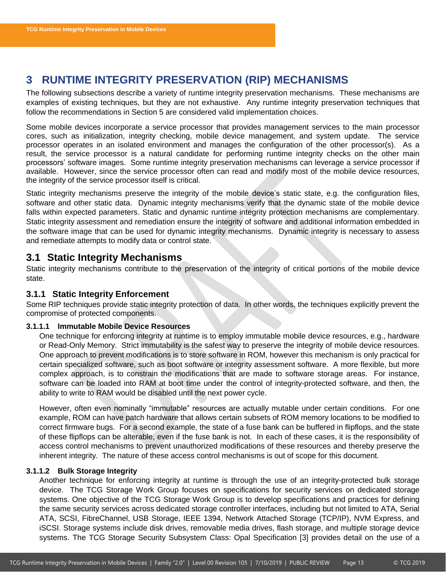# <span id="page-13-0"></span>**3 RUNTIME INTEGRITY PRESERVATION (RIP) MECHANISMS**

The following subsections describe a variety of runtime integrity preservation mechanisms. These mechanisms are examples of existing techniques, but they are not exhaustive. Any runtime integrity preservation techniques that follow the recommendations in Section 5 are considered valid implementation choices.

Some mobile devices incorporate a service processor that provides management services to the main processor cores, such as initialization, integrity checking, mobile device management, and system update. The service processor operates in an isolated environment and manages the configuration of the other processor(s). As a result, the service processor is a natural candidate for performing runtime integrity checks on the other main processors' software images. Some runtime integrity preservation mechanisms can leverage a service processor if available. However, since the service processor often can read and modify most of the mobile device resources, the integrity of the service processor itself is critical.

Static integrity mechanisms preserve the integrity of the mobile device's static state, e.g. the configuration files, software and other static data. Dynamic integrity mechanisms verify that the dynamic state of the mobile device falls within expected parameters. Static and dynamic runtime integrity protection mechanisms are complementary. Static integrity assessment and remediation ensure the integrity of software and additional information embedded in the software image that can be used for dynamic integrity mechanisms. Dynamic integrity is necessary to assess and remediate attempts to modify data or control state.

# <span id="page-13-1"></span>**3.1 Static Integrity Mechanisms**

Static integrity mechanisms contribute to the preservation of the integrity of critical portions of the mobile device state.

### <span id="page-13-2"></span>**3.1.1 Static Integrity Enforcement**

Some RIP techniques provide static integrity protection of data. In other words, the techniques explicitly prevent the compromise of protected components.

#### **3.1.1.1 Immutable Mobile Device Resources**

One technique for enforcing integrity at runtime is to employ immutable mobile device resources, e.g., hardware or Read-Only Memory. Strict immutability is the safest way to preserve the integrity of mobile device resources. One approach to prevent modifications is to store software in ROM, however this mechanism is only practical for certain specialized software, such as boot software or integrity assessment software. A more flexible, but more complex approach, is to constrain the modifications that are made to software storage areas. For instance, software can be loaded into RAM at boot time under the control of integrity-protected software, and then, the ability to write to RAM would be disabled until the next power cycle.

However, often even nominally "immutable" resources are actually mutable under certain conditions. For one example, ROM can have patch hardware that allows certain subsets of ROM memory locations to be modified to correct firmware bugs. For a second example, the state of a fuse bank can be buffered in flipflops, and the state of these flipflops can be alterable, even if the fuse bank is not. In each of these cases, it is the responsibility of access control mechanisms to prevent unauthorized modifications of these resources and thereby preserve the inherent integrity. The nature of these access control mechanisms is out of scope for this document.

#### **3.1.1.2 Bulk Storage Integrity**

Another technique for enforcing integrity at runtime is through the use of an integrity-protected bulk storage device. The TCG Storage Work Group focuses on specifications for security services on dedicated storage systems. One objective of the TCG Storage Work Group is to develop specifications and practices for defining the same security services across dedicated storage controller interfaces, including but not limited to ATA, Serial ATA, SCSI, FibreChannel, USB Storage, IEEE 1394, Network Attached Storage (TCP/IP), NVM Express, and iSCSI. Storage systems include disk drives, removable media drives, flash storage, and multiple storage device systems. The TCG Storage Security Subsystem Class: Opal Specification [\[3\]](#page-8-5) provides detail on the use of a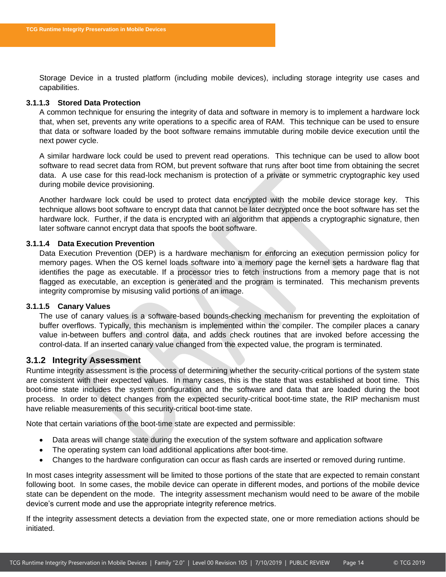Storage Device in a trusted platform (including mobile devices), including storage integrity use cases and capabilities.

#### **3.1.1.3 Stored Data Protection**

A common technique for ensuring the integrity of data and software in memory is to implement a hardware lock that, when set, prevents any write operations to a specific area of RAM. This technique can be used to ensure that data or software loaded by the boot software remains immutable during mobile device execution until the next power cycle.

A similar hardware lock could be used to prevent read operations. This technique can be used to allow boot software to read secret data from ROM, but prevent software that runs after boot time from obtaining the secret data. A use case for this read-lock mechanism is protection of a private or symmetric cryptographic key used during mobile device provisioning.

Another hardware lock could be used to protect data encrypted with the mobile device storage key. This technique allows boot software to encrypt data that cannot be later decrypted once the boot software has set the hardware lock. Further, if the data is encrypted with an algorithm that appends a cryptographic signature, then later software cannot encrypt data that spoofs the boot software.

#### **3.1.1.4 Data Execution Prevention**

Data Execution Prevention (DEP) is a hardware mechanism for enforcing an execution permission policy for memory pages. When the OS kernel loads software into a memory page the kernel sets a hardware flag that identifies the page as executable. If a processor tries to fetch instructions from a memory page that is not flagged as executable, an exception is generated and the program is terminated. This mechanism prevents integrity compromise by misusing valid portions of an image.

#### **3.1.1.5 Canary Values**

The use of canary values is a software-based bounds-checking mechanism for preventing the exploitation of buffer overflows. Typically, this mechanism is implemented within the compiler. The compiler places a canary value in-between buffers and control data, and adds check routines that are invoked before accessing the control-data. If an inserted canary value changed from the expected value, the program is terminated.

#### <span id="page-14-0"></span>**3.1.2 Integrity Assessment**

Runtime integrity assessment is the process of determining whether the security-critical portions of the system state are consistent with their expected values. In many cases, this is the state that was established at boot time. This boot-time state includes the system configuration and the software and data that are loaded during the boot process. In order to detect changes from the expected security-critical boot-time state, the RIP mechanism must have reliable measurements of this security-critical boot-time state.

Note that certain variations of the boot-time state are expected and permissible:

- Data areas will change state during the execution of the system software and application software
- The operating system can load additional applications after boot-time.
- Changes to the hardware configuration can occur as flash cards are inserted or removed during runtime.

In most cases integrity assessment will be limited to those portions of the state that are expected to remain constant following boot. In some cases, the mobile device can operate in different modes, and portions of the mobile device state can be dependent on the mode. The integrity assessment mechanism would need to be aware of the mobile device's current mode and use the appropriate integrity reference metrics.

If the integrity assessment detects a deviation from the expected state, one or more remediation actions should be initiated.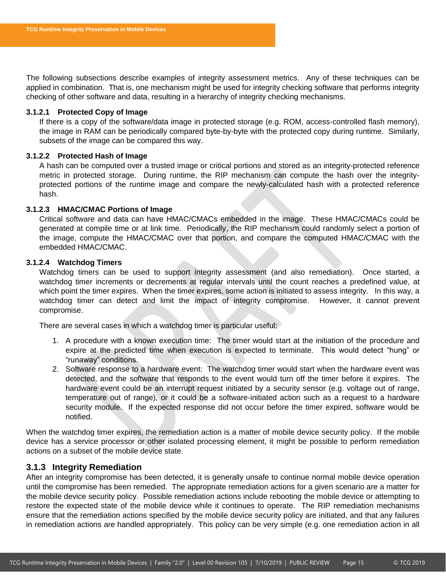The following subsections describe examples of integrity assessment metrics. Any of these techniques can be applied in combination. That is, one mechanism might be used for integrity checking software that performs integrity checking of other software and data, resulting in a hierarchy of integrity checking mechanisms.

#### **3.1.2.1 Protected Copy of Image**

If there is a copy of the software/data image in protected storage (e.g. ROM, access-controlled flash memory), the image in RAM can be periodically compared byte-by-byte with the protected copy during runtime. Similarly, subsets of the image can be compared this way.

#### **3.1.2.2 Protected Hash of Image**

A hash can be computed over a trusted image or critical portions and stored as an integrity-protected reference metric in protected storage. During runtime, the RIP mechanism can compute the hash over the integrityprotected portions of the runtime image and compare the newly-calculated hash with a protected reference hash.

#### **3.1.2.3 HMAC/CMAC Portions of Image**

Critical software and data can have HMAC/CMACs embedded in the image. These HMAC/CMACs could be generated at compile time or at link time. Periodically, the RIP mechanism could randomly select a portion of the image, compute the HMAC/CMAC over that portion, and compare the computed HMAC/CMAC with the embedded HMAC/CMAC.

#### **3.1.2.4 Watchdog Timers**

Watchdog timers can be used to support integrity assessment (and also remediation). Once started, a watchdog timer increments or decrements at regular intervals until the count reaches a predefined value, at which point the timer expires. When the timer expires, some action is initiated to assess integrity. In this way, a watchdog timer can detect and limit the impact of integrity compromise. However, it cannot prevent compromise.

There are several cases in which a watchdog timer is particular useful:

- 1. A procedure with a known execution time: The timer would start at the initiation of the procedure and expire at the predicted time when execution is expected to terminate. This would detect "hung" or "runaway" conditions.
- 2. Software response to a hardware event: The watchdog timer would start when the hardware event was detected, and the software that responds to the event would turn off the timer before it expires. The hardware event could be an interrupt request initiated by a security sensor (e.g. voltage out of range, temperature out of range), or it could be a software-initiated action such as a request to a hardware security module. If the expected response did not occur before the timer expired, software would be notified.

When the watchdog timer expires, the remediation action is a matter of mobile device security policy. If the mobile device has a service processor or other isolated processing element, it might be possible to perform remediation actions on a subset of the mobile device state.

#### <span id="page-15-0"></span>**3.1.3 Integrity Remediation**

After an integrity compromise has been detected, it is generally unsafe to continue normal mobile device operation until the compromise has been remedied. The appropriate remediation actions for a given scenario are a matter for the mobile device security policy. Possible remediation actions include rebooting the mobile device or attempting to restore the expected state of the mobile device while it continues to operate. The RIP remediation mechanisms ensure that the remediation actions specified by the mobile device security policy are initiated, and that any failures in remediation actions are handled appropriately. This policy can be very simple (e.g. one remediation action in all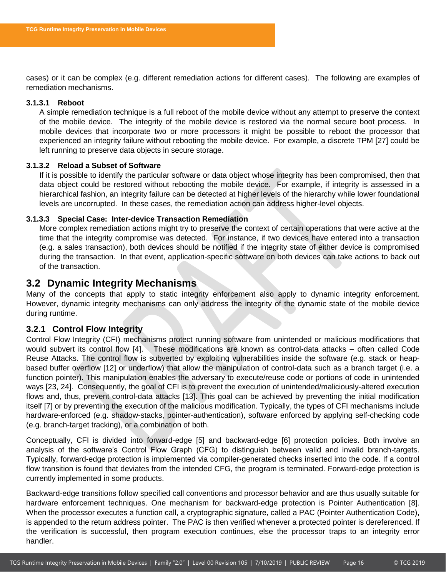cases) or it can be complex (e.g. different remediation actions for different cases). The following are examples of remediation mechanisms.

#### **3.1.3.1 Reboot**

A simple remediation technique is a full reboot of the mobile device without any attempt to preserve the context of the mobile device. The integrity of the mobile device is restored via the normal secure boot process. In mobile devices that incorporate two or more processors it might be possible to reboot the processor that experienced an integrity failure without rebooting the mobile device. For example, a discrete TPM [\[27\]](#page-10-2) could be left running to preserve data objects in secure storage.

#### **3.1.3.2 Reload a Subset of Software**

If it is possible to identify the particular software or data object whose integrity has been compromised, then that data object could be restored without rebooting the mobile device. For example, if integrity is assessed in a hierarchical fashion, an integrity failure can be detected at higher levels of the hierarchy while lower foundational levels are uncorrupted. In these cases, the remediation action can address higher-level objects.

#### **3.1.3.3 Special Case: Inter-device Transaction Remediation**

More complex remediation actions might try to preserve the context of certain operations that were active at the time that the integrity compromise was detected. For instance, if two devices have entered into a transaction (e.g. a sales transaction), both devices should be notified if the integrity state of either device is compromised during the transaction. In that event, application-specific software on both devices can take actions to back out of the transaction.

### <span id="page-16-0"></span>**3.2 Dynamic Integrity Mechanisms**

Many of the concepts that apply to static integrity enforcement also apply to dynamic integrity enforcement. However, dynamic integrity mechanisms can only address the integrity of the dynamic state of the mobile device during runtime.

#### <span id="page-16-1"></span>**3.2.1 Control Flow Integrity**

Control Flow Integrity (CFI) mechanisms protect running software from unintended or malicious modifications that would subvert its control flow [\[4\]](#page-8-6). These modifications are known as control-data attacks – often called Code Reuse Attacks. The control flow is subverted by exploiting vulnerabilities inside the software (e.g. stack or heapbased buffer overflow [\[12\]](#page-9-2) or underflow) that allow the manipulation of control-data such as a branch target (i.e. a function pointer). This manipulation enables the adversary to execute/reuse code or portions of code in unintended ways [\[23,](#page-9-3) [24\]](#page-9-4). Consequently, the goal of CFI is to prevent the execution of unintended/maliciously-altered execution flows and, thus, prevent control-data attacks [\[13\]](#page-9-5). This goal can be achieved by preventing the initial modification itself [\[7\]](#page-8-7) or by preventing the execution of the malicious modification. Typically, the types of CFI mechanisms include hardware-enforced (e.g. shadow-stacks, pointer-authentication), software enforced by applying self-checking code (e.g. branch-target tracking), or a combination of both.

Conceptually, CFI is divided into forward-edge [\[5\]](#page-8-8) and backward-edge [\[6\]](#page-8-9) protection policies. Both involve an analysis of the software's Control Flow Graph (CFG) to distinguish between valid and invalid branch-targets. Typically, forward-edge protection is implemented via compiler-generated checks inserted into the code. If a control flow transition is found that deviates from the intended CFG, the program is terminated. Forward-edge protection is currently implemented in some products.

Backward-edge transitions follow specified call conventions and processor behavior and are thus usually suitable for hardware enforcement techniques. One mechanism for backward-edge protection is Pointer Authentication [\[8\]](#page-8-10). When the processor executes a function call, a cryptographic signature, called a PAC (Pointer Authentication Code), is appended to the return address pointer. The PAC is then verified whenever a protected pointer is dereferenced. If the verification is successful, then program execution continues, else the processor traps to an integrity error handler.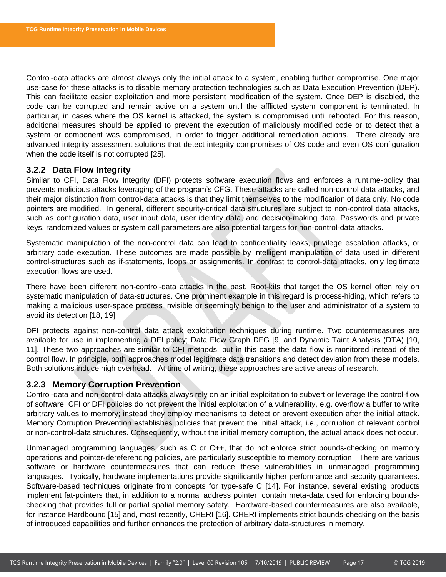Control-data attacks are almost always only the initial attack to a system, enabling further compromise. One major use-case for these attacks is to disable memory protection technologies such as Data Execution Prevention (DEP). This can facilitate easier exploitation and more persistent modification of the system. Once DEP is disabled, the code can be corrupted and remain active on a system until the afflicted system component is terminated. In particular, in cases where the OS kernel is attacked, the system is compromised until rebooted. For this reason, additional measures should be applied to prevent the execution of maliciously modified code or to detect that a system or component was compromised, in order to trigger additional remediation actions. There already are advanced integrity assessment solutions that detect integrity compromises of OS code and even OS configuration when the code itself is not corrupted [\[25\]](#page-10-3).

#### <span id="page-17-0"></span>**3.2.2 Data Flow Integrity**

Similar to CFI, Data Flow Integrity (DFI) protects software execution flows and enforces a runtime-policy that prevents malicious attacks leveraging of the program's CFG. These attacks are called non-control data attacks, and their major distinction from control-data attacks is that they limit themselves to the modification of data only. No code pointers are modified. In general, different security-critical data structures are subject to non-control data attacks, such as configuration data, user input data, user identity data, and decision-making data. Passwords and private keys, randomized values or system call parameters are also potential targets for non-control-data attacks.

Systematic manipulation of the non-control data can lead to confidentiality leaks, privilege escalation attacks, or arbitrary code execution. These outcomes are made possible by intelligent manipulation of data used in different control-structures such as if-statements, loops or assignments. In contrast to control-data attacks, only legitimate execution flows are used.

There have been different non-control-data attacks in the past. Root-kits that target the OS kernel often rely on systematic manipulation of data-structures. One prominent example in this regard is process-hiding, which refers to making a malicious user-space process invisible or seemingly benign to the user and administrator of a system to avoid its detection [\[18,](#page-9-6) [19\]](#page-9-7).

DFI protects against non-control data attack exploitation techniques during runtime. Two countermeasures are available for use in implementing a DFI policy; Data Flow Graph DFG [\[9\]](#page-8-11) and Dynamic Taint Analysis (DTA) [\[10,](#page-9-8) [11\]](#page-9-9). These two approaches are similar to CFI methods, but in this case the data flow is monitored instead of the control flow. In principle, both approaches model legitimate data transitions and detect deviation from these models. Both solutions induce high overhead. At time of writing, these approaches are active areas of research.

#### <span id="page-17-1"></span>**3.2.3 Memory Corruption Prevention**

Control-data and non-control-data attacks always rely on an initial exploitation to subvert or leverage the control-flow of software. CFI or DFI policies do not prevent the initial exploitation of a vulnerability, e.g. overflow a buffer to write arbitrary values to memory; instead they employ mechanisms to detect or prevent execution after the initial attack. Memory Corruption Prevention establishes policies that prevent the initial attack, i.e., corruption of relevant control or non-control-data structures. Consequently, without the initial memory corruption, the actual attack does not occur.

Unmanaged programming languages, such as C or C++, that do not enforce strict bounds-checking on memory operations and pointer-dereferencing policies, are particularly susceptible to memory corruption. There are various software or hardware countermeasures that can reduce these vulnerabilities in unmanaged programming languages. Typically, hardware implementations provide significantly higher performance and security guarantees. Software-based techniques originate from concepts for type-safe C [\[14\]](#page-9-10). For instance, several existing products implement fat-pointers that, in addition to a normal address pointer, contain meta-data used for enforcing boundschecking that provides full or partial spatial memory safety. Hardware-based countermeasures are also available, for instance Hardbound [\[15\]](#page-9-11) and, most recently, CHERI [\[16\]](#page-9-12). CHERI implements strict bounds-checking on the basis of introduced capabilities and further enhances the protection of arbitrary data-structures in memory.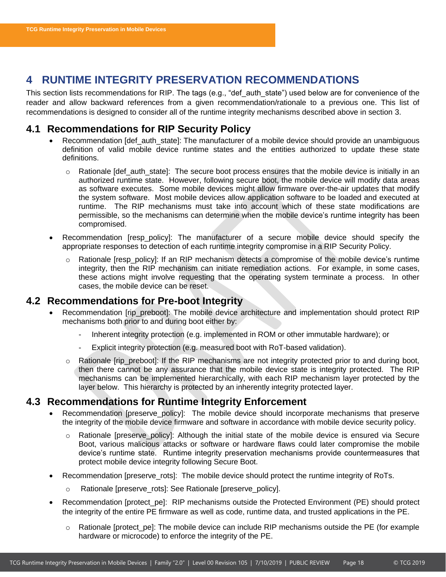# <span id="page-18-0"></span>**4 RUNTIME INTEGRITY PRESERVATION RECOMMENDATIONS**

This section lists recommendations for RIP. The tags (e.g., "def\_auth\_state") used below are for convenience of the reader and allow backward references from a given recommendation/rationale to a previous one. This list of recommendations is designed to consider all of the runtime integrity mechanisms described above in section [3.](#page-13-0)

# <span id="page-18-1"></span>**4.1 Recommendations for RIP Security Policy**

- Recommendation [def\_auth\_state]: The manufacturer of a mobile device should provide an unambiguous definition of valid mobile device runtime states and the entities authorized to update these state definitions.
	- $\circ$  Rationale [def\_auth\_state]: The secure boot process ensures that the mobile device is initially in an authorized runtime state. However, following secure boot, the mobile device will modify data areas as software executes. Some mobile devices might allow firmware over-the-air updates that modify the system software. Most mobile devices allow application software to be loaded and executed at runtime. The RIP mechanisms must take into account which of these state modifications are permissible, so the mechanisms can determine when the mobile device's runtime integrity has been compromised.
- Recommendation [resp\_policy]: The manufacturer of a secure mobile device should specify the appropriate responses to detection of each runtime integrity compromise in a RIP Security Policy.
	- Rationale [resp\_policy]: If an RIP mechanism detects a compromise of the mobile device's runtime integrity, then the RIP mechanism can initiate remediation actions. For example, in some cases, these actions might involve requesting that the operating system terminate a process. In other cases, the mobile device can be reset.

### <span id="page-18-2"></span>**4.2 Recommendations for Pre-boot Integrity**

- Recommendation [rip\_preboot]: The mobile device architecture and implementation should protect RIP mechanisms both prior to and during boot either by:
	- Inherent integrity protection (e.g. implemented in ROM or other immutable hardware); or
	- Explicit integrity protection (e.g. measured boot with RoT-based validation).
	- o Rationale [rip\_preboot]: If the RIP mechanisms are not integrity protected prior to and during boot, then there cannot be any assurance that the mobile device state is integrity protected. The RIP mechanisms can be implemented hierarchically, with each RIP mechanism layer protected by the layer below. This hierarchy is protected by an inherently integrity protected layer.

# <span id="page-18-3"></span>**4.3 Recommendations for Runtime Integrity Enforcement**

- Recommendation [preserve\_policy]: The mobile device should incorporate mechanisms that preserve the integrity of the mobile device firmware and software in accordance with mobile device security policy.
	- $\circ$  Rationale [preserve\_policy]: Although the initial state of the mobile device is ensured via Secure Boot, various malicious attacks or software or hardware flaws could later compromise the mobile device's runtime state. Runtime integrity preservation mechanisms provide countermeasures that protect mobile device integrity following Secure Boot.
- Recommendation [preserve\_rots]: The mobile device should protect the runtime integrity of RoTs.
	- o Rationale [preserve\_rots]: See Rationale [preserve\_policy].
- Recommendation [protect\_pe]: RIP mechanisms outside the Protected Environment (PE) should protect the integrity of the entire PE firmware as well as code, runtime data, and trusted applications in the PE.
	- $\circ$  Rationale [protect\_pe]: The mobile device can include RIP mechanisms outside the PE (for example hardware or microcode) to enforce the integrity of the PE.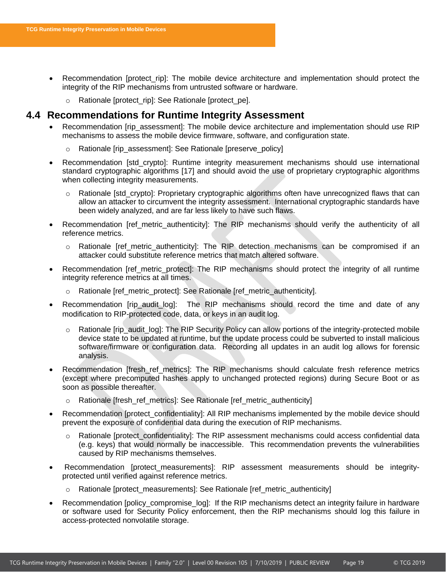- Recommendation [protect\_rip]: The mobile device architecture and implementation should protect the integrity of the RIP mechanisms from untrusted software or hardware.
	- o Rationale [protect\_rip]: See Rationale [protect\_pe].

# <span id="page-19-0"></span>**4.4 Recommendations for Runtime Integrity Assessment**

- Recommendation [rip\_assessment]: The mobile device architecture and implementation should use RIP mechanisms to assess the mobile device firmware, software, and configuration state.
	- o Rationale [rip\_assessment]: See Rationale [preserve\_policy]
- Recommendation [std\_crypto]: Runtime integrity measurement mechanisms should use international standard cryptographic algorithms [\[17\]](#page-9-13) and should avoid the use of proprietary cryptographic algorithms when collecting integrity measurements.
	- $\circ$  Rationale [std\_crypto]: Proprietary cryptographic algorithms often have unrecognized flaws that can allow an attacker to circumvent the integrity assessment. International cryptographic standards have been widely analyzed, and are far less likely to have such flaws.
- Recommendation [ref\_metric\_authenticity]: The RIP mechanisms should verify the authenticity of all reference metrics.
	- o Rationale [ref\_metric\_authenticity]: The RIP detection mechanisms can be compromised if an attacker could substitute reference metrics that match altered software.
- Recommendation [ref\_metric\_protect]: The RIP mechanisms should protect the integrity of all runtime integrity reference metrics at all times.
	- Rationale [ref\_metric\_protect]: See Rationale [ref\_metric\_authenticity].
- Recommendation [rip\_audit\_log]: The RIP mechanisms should record the time and date of any modification to RIP-protected code, data, or keys in an audit log.
	- $\circ$  Rationale [rip\_audit\_log]: The RIP Security Policy can allow portions of the integrity-protected mobile device state to be updated at runtime, but the update process could be subverted to install malicious software/firmware or configuration data. Recording all updates in an audit log allows for forensic analysis.
- Recommendation [fresh\_ref\_metrics]: The RIP mechanisms should calculate fresh reference metrics (except where precomputed hashes apply to unchanged protected regions) during Secure Boot or as soon as possible thereafter.
	- Rationale [fresh\_ref\_metrics]: See Rationale [ref\_metric\_authenticity]
- Recommendation [protect\_confidentiality]: All RIP mechanisms implemented by the mobile device should prevent the exposure of confidential data during the execution of RIP mechanisms.
	- $\circ$  Rationale [protect\_confidentiality]: The RIP assessment mechanisms could access confidential data (e.g. keys) that would normally be inaccessible. This recommendation prevents the vulnerabilities caused by RIP mechanisms themselves.
- Recommendation [protect measurements]: RIP assessment measurements should be integrityprotected until verified against reference metrics.
	- o Rationale [protect\_measurements]: See Rationale [ref\_metric\_authenticity]
- Recommendation [policy\_compromise\_log]: If the RIP mechanisms detect an integrity failure in hardware or software used for Security Policy enforcement, then the RIP mechanisms should log this failure in access-protected nonvolatile storage.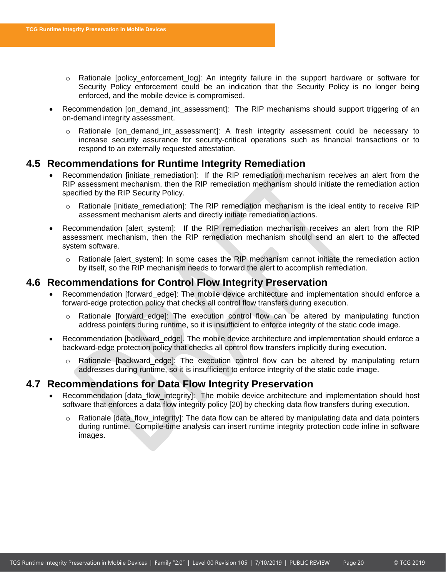- o Rationale [policy\_enforcement\_log]: An integrity failure in the support hardware or software for Security Policy enforcement could be an indication that the Security Policy is no longer being enforced, and the mobile device is compromised.
- Recommendation [on\_demand\_int\_assessment]: The RIP mechanisms should support triggering of an on-demand integrity assessment.
	- o Rationale [on\_demand\_int\_assessment]: A fresh integrity assessment could be necessary to increase security assurance for security-critical operations such as financial transactions or to respond to an externally requested attestation.

### <span id="page-20-0"></span>**4.5 Recommendations for Runtime Integrity Remediation**

- Recommendation [initiate\_remediation]: If the RIP remediation mechanism receives an alert from the RIP assessment mechanism, then the RIP remediation mechanism should initiate the remediation action specified by the RIP Security Policy.
	- Rationale [initiate\_remediation]: The RIP remediation mechanism is the ideal entity to receive RIP assessment mechanism alerts and directly initiate remediation actions.
- Recommendation [alert system]: If the RIP remediation mechanism receives an alert from the RIP assessment mechanism, then the RIP remediation mechanism should send an alert to the affected system software.
	- $\circ$  Rationale [alert system]: In some cases the RIP mechanism cannot initiate the remediation action by itself, so the RIP mechanism needs to forward the alert to accomplish remediation.

# <span id="page-20-1"></span>**4.6 Recommendations for Control Flow Integrity Preservation**

- Recommendation [forward edge]: The mobile device architecture and implementation should enforce a forward-edge protection policy that checks all control flow transfers during execution.
	- o Rationale [forward\_edge]: The execution control flow can be altered by manipulating function address pointers during runtime, so it is insufficient to enforce integrity of the static code image.
- Recommendation [backward\_edge]. The mobile device architecture and implementation should enforce a backward-edge protection policy that checks all control flow transfers implicitly during execution.
	- o Rationale [backward\_edge]: The execution control flow can be altered by manipulating return addresses during runtime, so it is insufficient to enforce integrity of the static code image.

### <span id="page-20-2"></span>**4.7 Recommendations for Data Flow Integrity Preservation**

- Recommendation [data\_flow\_integrity]: The mobile device architecture and implementation should host software that enforces a data flow integrity policy [\[20\]](#page-9-14) by checking data flow transfers during execution.
	- $\circ$  Rationale [data\_flow\_integrity]: The data flow can be altered by manipulating data and data pointers during runtime. Compile-time analysis can insert runtime integrity protection code inline in software images.